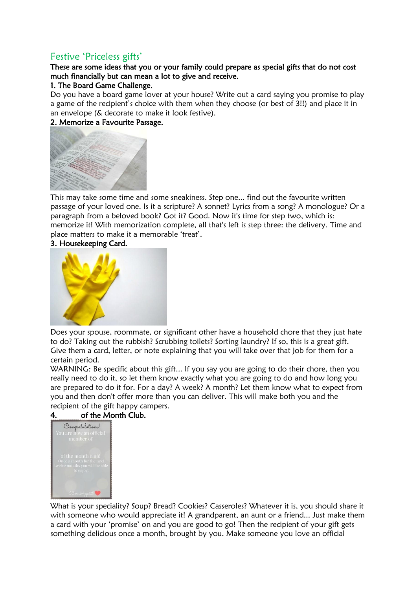# Festive 'Priceless gifts'

# These are some ideas that you or your family could prepare as special gifts that do not cost much financially but can mean a lot to give and receive.

#### 1. The Board Game Challenge.

Do you have a board game lover at your house? Write out a card saying you promise to play a game of the recipient's choice with them when they choose (or best of 3!!) and place it in an envelope (& decorate to make it look festive).

# 2. Memorize a Favourite Passage.



This may take some time and some sneakiness. Step one... find out the favourite written passage of your loved one. Is it a scripture? A sonnet? Lyrics from a song? A monologue? Or a paragraph from a beloved book? Got it? Good. Now it's time for step two, which is: memorize it! With memorization complete, all that's left is step three: the delivery. Time and place matters to make it a memorable 'treat'.

#### 3. Housekeeping Card.



Does your spouse, roommate, or significant other have a household chore that they just hate to do? Taking out the rubbish? Scrubbing toilets? Sorting laundry? If so, this is a great gift. Give them a card, letter, or note explaining that you will take over that job for them for a certain period.

WARNING: Be specific about this gift... If you say you are going to do their chore, then you really need to do it, so let them know exactly what you are going to do and how long you are prepared to do it for. For a day? A week? A month? Let them know what to expect from you and then don't offer more than you can deliver. This will make both you and the recipient of the gift happy campers.

## of the Month Club.



What is your speciality? Soup? Bread? Cookies? Casseroles? Whatever it is, you should share it with someone who would appreciate it! A grandparent, an aunt or a friend... Just make them a card with your 'promise' on and you are good to go! Then the recipient of your gift gets something delicious once a month, brought by you. Make someone you love an official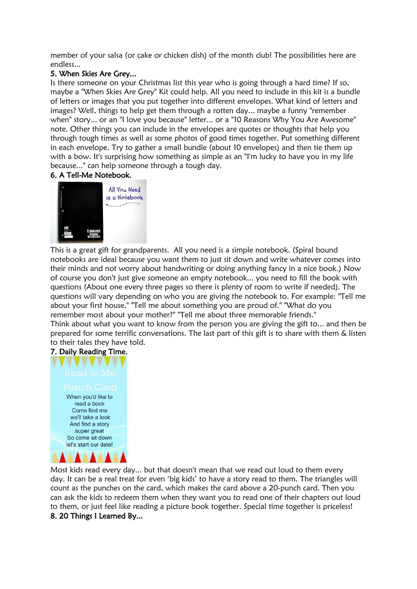member of your salsa (or cake or chicken dish) of the month club! The possibilities here are endless...

#### 5. When Skies Are Grey...

Is there someone on your Christmas list this year who is going through a hard time? If so, maybe a "When Skies Are Grey" Kit could help. All you need to include in this kit is a bundle of letters or images that you put together into different envelopes. What kind of letters and images? Well, things to help get them through a rotten day... maybe a funny "remember when" story... or an "I love you because" letter... or a "10 Reasons Why You Are Awesome" note. Other things you can include in the envelopes are quotes or thoughts that help you through tough times as well as some photos of good times together. Put something different in each envelope. Try to gather a small bundle (about 10 envelopes) and then tie them up with a bow. It's surprising how something as simple as an "I'm lucky to have you in my life because..." can help someone through a tough day.

#### 6. A Tell-Me Notebook.



This is a great gift for grandparents. All you need is a simple notebook. (Spiral bound notebooks are ideal because you want them to just sit down and write whatever comes into their minds and not worry about handwriting or doing anything fancy in a nice book.) Now of course you don't just give someone an empty notebook... you need to fill the book with questions (About one every three pages so there is plenty of room to write if needed). The questions will vary depending on who you are giving the notebook to. For example: "Tell me about your first house." "Tell me about something you are proud of." "What do you remember most about your mother?" "Tell me about three memorable friends."

Think about what you want to know from the person you are giving the gift to... and then be prepared for some terrific conversations. The last part of this gift is to share with them & listen to their tales they have told.

# 7. Daily Reading Time.



Most kids read every day... but that doesn't mean that we read out loud to them every day. It can be a real treat for even 'big kids' to have a story read to them. The triangles will count as the punches on the card, which makes the card above a 20-punch card. Then you can ask the kids to redeem them when they want you to read one of their chapters out loud to them, or just feel like reading a picture book together. Special time together is priceless! 8. 20 Things I Learned By...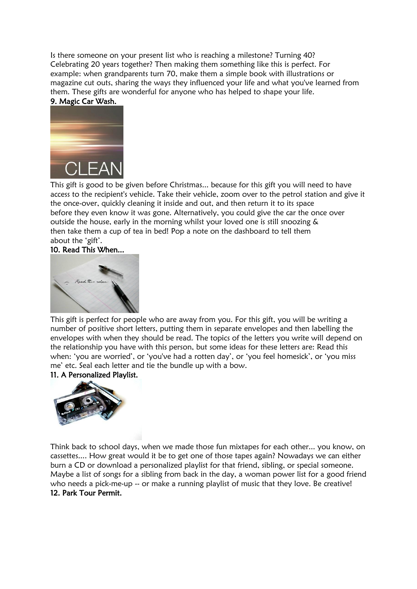Is there someone on your present list who is reaching a milestone? Turning 40? Celebrating 20 years together? Then making them something like this is perfect. For example: when grandparents turn 70, make them a simple book with illustrations or magazine cut outs, sharing the ways they influenced your life and what you've learned from them. These gifts are wonderful for anyone who has helped to shape your life. 9. Magic Car Wash.



This gift is good to be given before Christmas... because for this gift you will need to have access to the recipient's vehicle. Take their vehicle, zoom over to the petrol station and give it the once-over, quickly cleaning it inside and out, and then return it to its space before they even know it was gone. Alternatively, you could give the car the once over outside the house, early in the morning whilst your loved one is still snoozing & then take them a cup of tea in bed! Pop a note on the dashboard to tell them about the 'gift'.

#### 10. Read This When...



This gift is perfect for people who are away from you. For this gift, you will be writing a number of positive short letters, putting them in separate envelopes and then labelling the envelopes with when they should be read. The topics of the letters you write will depend on the relationship you have with this person, but some ideas for these letters are: Read this when: 'you are worried', or 'you've had a rotten day', or 'you feel homesick', or 'you miss me' etc. Seal each letter and tie the bundle up with a bow.

#### 11. A Personalized Playlist.



Think back to school days, when we made those fun mixtapes for each other... you know, on cassettes.... How great would it be to get one of those tapes again? Nowadays we can either burn a CD or download a personalized playlist for that friend, sibling, or special someone. Maybe a list of songs for a sibling from back in the day, a woman power list for a good friend who needs a pick-me-up -- or make a running playlist of music that they love. Be creative! 12. Park Tour Permit.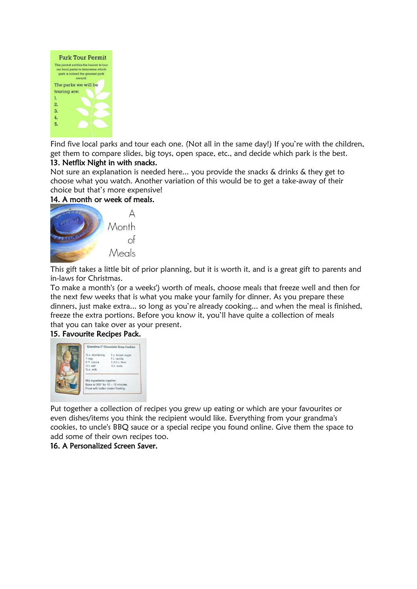

Find five local parks and tour each one. (Not all in the same day!) If you're with the children, get them to compare slides, big toys, open space, etc., and decide which park is the best.

## 13. Netflix Night in with snacks.

Not sure an explanation is needed here... you provide the snacks & drinks & they get to choose what you watch. Another variation of this would be to get a take-away of their choice but that's more expensive!

# 14. A month or week of meals.



This gift takes a little bit of prior planning, but it is worth it, and is a great gift to parents and in-laws for Christmas.

To make a month's (or a weeks') worth of meals, choose meals that freeze well and then for the next few weeks that is what you make your family for dinner. As you prepare these dinners, just make extra... so long as you're already cooking... and when the meal is finished, freeze the extra portions. Before you know it, you'll have quite a collection of meals that you can take over as your present.

## 15. Favourite Recipes Pack.



Put together a collection of recipes you grew up eating or which are your favourites or even dishes/items you think the recipient would like. Everything from your grandma's cookies, to uncle's BBQ sauce or a special recipe you found online. Give them the space to add some of their own recipes too.

## 16. A Personalized Screen Saver.